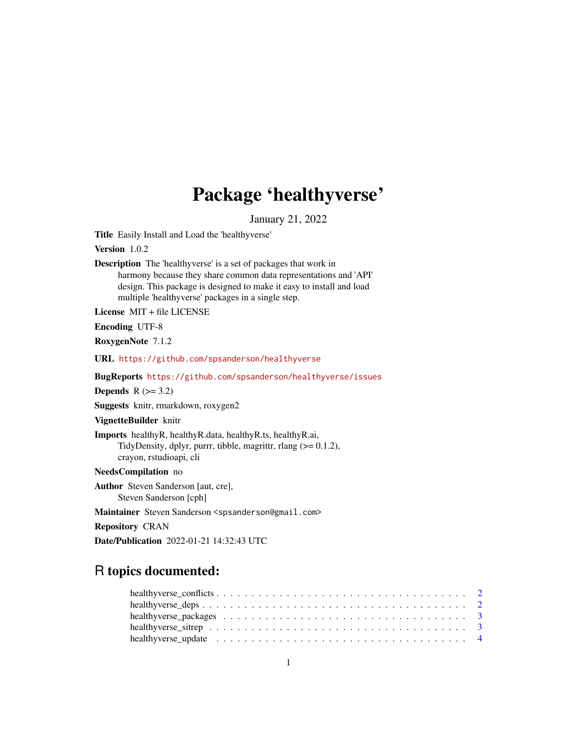## Package 'healthyverse'

January 21, 2022

Title Easily Install and Load the 'healthyverse'

Version 1.0.2

Description The 'healthyverse' is a set of packages that work in harmony because they share common data representations and 'API' design. This package is designed to make it easy to install and load multiple 'healthyverse' packages in a single step.

License MIT + file LICENSE

Encoding UTF-8

RoxygenNote 7.1.2

URL <https://github.com/spsanderson/healthyverse>

BugReports <https://github.com/spsanderson/healthyverse/issues>

Depends  $R (=3.2)$ 

Suggests knitr, rmarkdown, roxygen2

VignetteBuilder knitr

Imports healthyR, healthyR.data, healthyR.ts, healthyR.ai, TidyDensity, dplyr, purrr, tibble, magrittr, rlang (>= 0.1.2), crayon, rstudioapi, cli

NeedsCompilation no

Author Steven Sanderson [aut, cre], Steven Sanderson [cph]

Maintainer Steven Sanderson <spsanderson@gmail.com>

Repository CRAN

Date/Publication 2022-01-21 14:32:43 UTC

### R topics documented: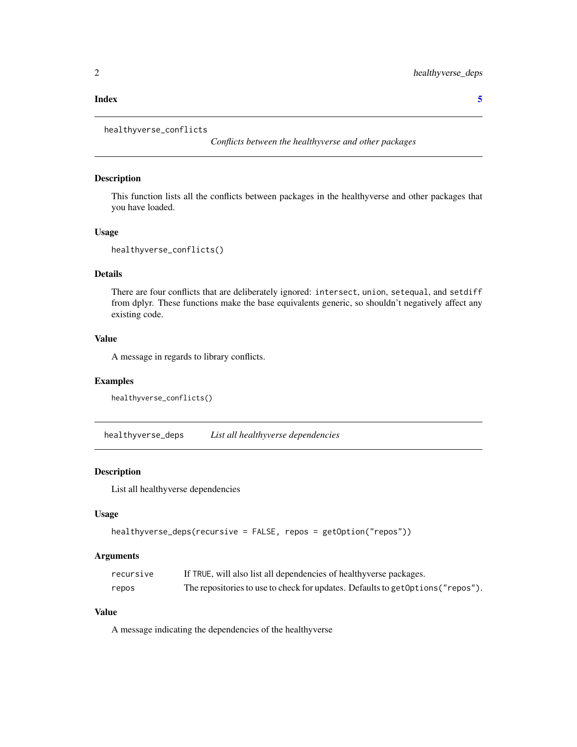#### <span id="page-1-0"></span>**Index** [5](#page-4-0). The second state of the second state of the second state of the second state of the second state of the second state of the second state of the second state of the second state of the second state of the second

```
healthyverse_conflicts
```
*Conflicts between the healthyverse and other packages*

#### Description

This function lists all the conflicts between packages in the healthyverse and other packages that you have loaded.

#### Usage

```
healthyverse_conflicts()
```
#### Details

There are four conflicts that are deliberately ignored: intersect, union, setequal, and setdiff from dplyr. These functions make the base equivalents generic, so shouldn't negatively affect any existing code.

#### Value

A message in regards to library conflicts.

#### Examples

```
healthyverse_conflicts()
```
healthyverse\_deps *List all healthyverse dependencies*

#### Description

List all healthyverse dependencies

#### Usage

```
healthyverse_deps(recursive = FALSE, repos = getOption("repos"))
```
#### Arguments

| recursive | If TRUE, will also list all dependencies of healthyverse packages.               |
|-----------|----------------------------------------------------------------------------------|
| repos     | The repositories to use to check for updates. Defaults to get Options ("repos"). |

#### Value

A message indicating the dependencies of the healthyverse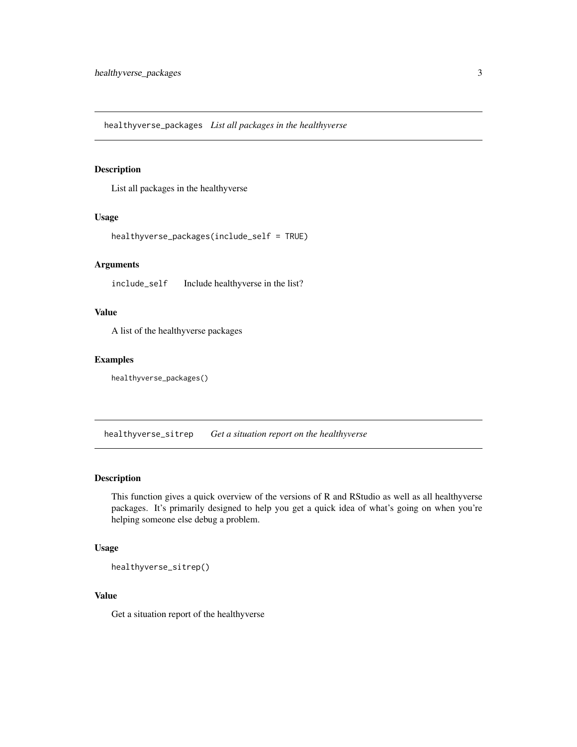<span id="page-2-0"></span>healthyverse\_packages *List all packages in the healthyverse*

#### Description

List all packages in the healthyverse

#### Usage

```
healthyverse_packages(include_self = TRUE)
```
#### Arguments

include\_self Include healthyverse in the list?

#### Value

A list of the healthyverse packages

#### Examples

healthyverse\_packages()

healthyverse\_sitrep *Get a situation report on the healthyverse*

#### Description

This function gives a quick overview of the versions of R and RStudio as well as all healthyverse packages. It's primarily designed to help you get a quick idea of what's going on when you're helping someone else debug a problem.

#### Usage

healthyverse\_sitrep()

#### Value

Get a situation report of the healthyverse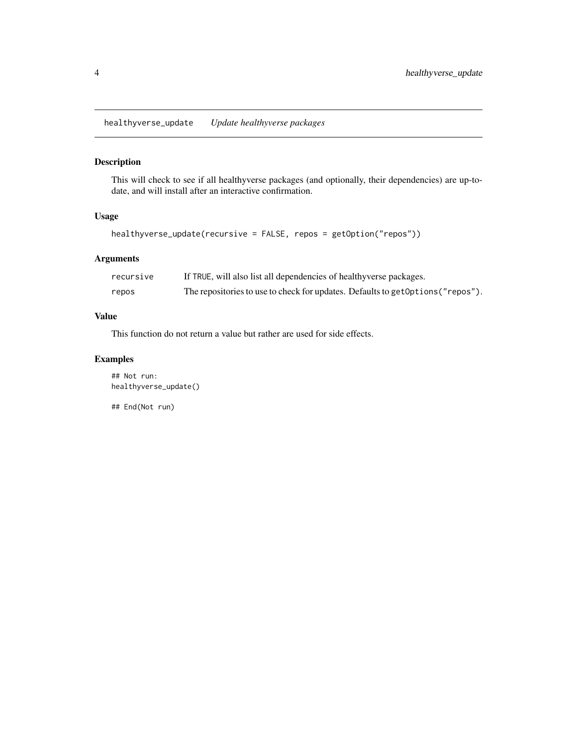<span id="page-3-0"></span>healthyverse\_update *Update healthyverse packages*

#### Description

This will check to see if all healthyverse packages (and optionally, their dependencies) are up-todate, and will install after an interactive confirmation.

#### Usage

```
healthyverse_update(recursive = FALSE, repos = getOption("repos"))
```
#### Arguments

| recursive | If TRUE, will also list all dependencies of healthyverse packages.               |
|-----------|----------------------------------------------------------------------------------|
| repos     | The repositories to use to check for updates. Defaults to get Options ("repos"). |

#### Value

This function do not return a value but rather are used for side effects.

#### Examples

## Not run: healthyverse\_update()

## End(Not run)